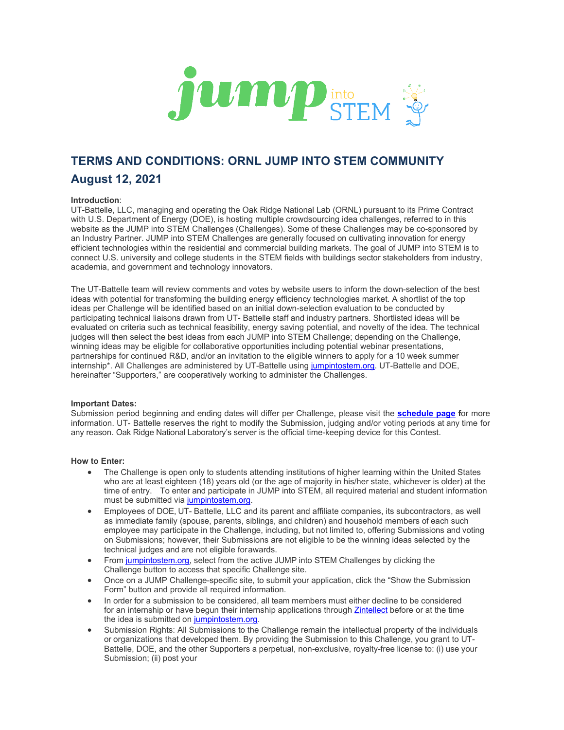

# **TERMS AND CONDITIONS: ORNL JUMP INTO STEM COMMUNITY August 12, 2021**

# **Introduction**:

UT-Battelle, LLC, managing and operating the Oak Ridge National Lab (ORNL) pursuant to its Prime Contract with U.S. Department of Energy (DOE), is hosting multiple crowdsourcing idea challenges, referred to in this website as the JUMP into STEM Challenges (Challenges). Some of these Challenges may be co-sponsored by an Industry Partner. JUMP into STEM Challenges are generally focused on cultivating innovation for energy efficient technologies within the residential and commercial building markets. The goal of JUMP into STEM is to connect U.S. university and college students in the STEM fields with buildings sector stakeholders from industry, academia, and government and technology innovators.

The UT-Battelle team will review comments and votes by website users to inform the down-selection of the best ideas with potential for transforming the building energy efficiency technologies market. A shortlist of the top ideas per Challenge will be identified based on an initial down-selection evaluation to be conducted by participating technical liaisons drawn from UT- Battelle staff and industry partners. Shortlisted ideas will be evaluated on criteria such as technical feasibility, energy saving potential, and novelty of the idea. The technical judges will then select the best ideas from each JUMP into STEM Challenge; depending on the Challenge, winning ideas may be eligible for collaborative opportunities including potential webinar presentations, partnerships for continued R&D, and/or an invitation to the eligible winners to apply for a 10 week summer internship\*. All Challenges are administered by UT-Battelle usin[g jumpintostem.org.](https://jumpintostem.org/) UT-Battelle and DOE, hereinafter "Supporters," are cooperatively working to administer the Challenges.

# **Important Dates:**

Submission period beginning and ending dates will differ per Challenge, please visit the **[schedule page](https://jumpintostem.org/events/) f**or more information. UT- Battelle reserves the right to modify the Submission, judging and/or voting periods at any time for any reason. Oak Ridge National Laboratory's server is the official time-keeping device for this Contest.

# **How to Enter:**

- The Challenge is open only to students attending institutions of higher learning within the United States who are at least eighteen (18) years old (or the age of majority in his/her state, whichever is older) at the time of entry. To enter and participate in JUMP into STEM, all required material and student information must be submitted via [jumpintostem.org.](http://jumpintostem.org/)
- Employees of DOE, UT- Battelle, LLC and its parent and affiliate companies, its subcontractors, as well as immediate family (spouse, parents, siblings, and children) and household members of each such employee may participate in the Challenge, including, but not limited to, offering Submissions and voting on Submissions; however, their Submissions are not eligible to be the winning ideas selected by the technical judges and are not eligible forawards.
- Fro[m jumpintostem.org, s](http://jumpintostem.org/)elect from the active JUMP into STEM Challenges by clicking the Challenge button to access that specific Challenge site.
- Once on a JUMP Challenge-specific site, to submit your application, click the "Show the Submission Form" button and provide all required information.
- In order for a submission to be considered, all team members must either decline to be considered for an internship or have begun their internship applications throug[h Zintellect](https://zintellect.com/Opportunity/Details/DOE-JUMPintoSTEM-BTIP-2022) before or at the time the idea is submitted o[n jumpintostem.org.](http://jumpintostem.org/)
- Submission Rights: All Submissions to the Challenge remain the intellectual property of the individuals or organizations that developed them. By providing the Submission to this Challenge, you grant to UT-Battelle, DOE, and the other Supporters a perpetual, non-exclusive, royalty-free license to: (i) use your Submission; (ii) post your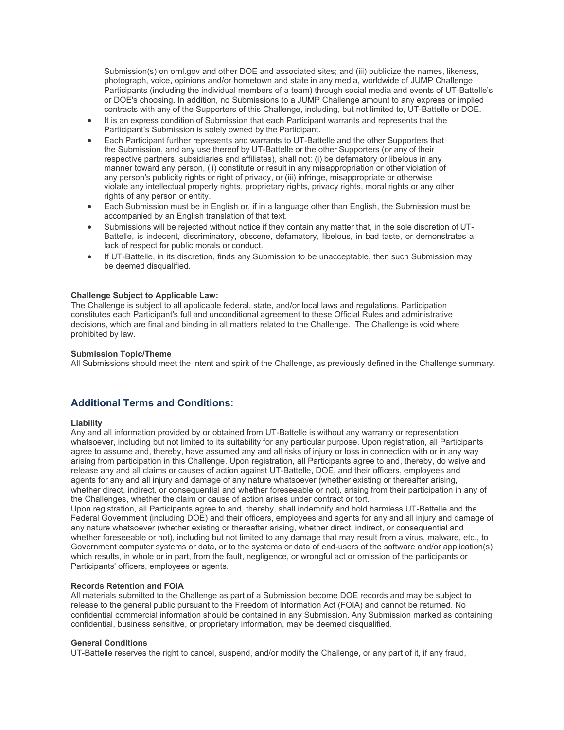Submission(s) on ornl.gov and other DOE and associated sites; and (iii) publicize the names, likeness, photograph, voice, opinions and/or hometown and state in any media, worldwide of JUMP Challenge Participants (including the individual members of a team) through social media and events of UT-Battelle's or DOE's choosing. In addition, no Submissions to a JUMP Challenge amount to any express or implied contracts with any of the Supporters of this Challenge, including, but not limited to, UT-Battelle or DOE.

- It is an express condition of Submission that each Participant warrants and represents that the Participant's Submission is solely owned by the Participant.
- Each Participant further represents and warrants to UT-Battelle and the other Supporters that the Submission, and any use thereof by UT-Battelle or the other Supporters (or any of their respective partners, subsidiaries and affiliates), shall not: (i) be defamatory or libelous in any manner toward any person, (ii) constitute or result in any misappropriation or other violation of any person's publicity rights or right of privacy, or (iii) infringe, misappropriate or otherwise violate any intellectual property rights, proprietary rights, privacy rights, moral rights or any other rights of any person or entity.
- Each Submission must be in English or, if in a language other than English, the Submission must be accompanied by an English translation of that text.
- Submissions will be rejected without notice if they contain any matter that, in the sole discretion of UT-Battelle, is indecent, discriminatory, obscene, defamatory, libelous, in bad taste, or demonstrates a lack of respect for public morals or conduct.
- If UT-Battelle, in its discretion, finds any Submission to be unacceptable, then such Submission may be deemed disqualified.

### **Challenge Subject to Applicable Law:**

The Challenge is subject to all applicable federal, state, and/or local laws and regulations. Participation constitutes each Participant's full and unconditional agreement to these Official Rules and administrative decisions, which are final and binding in all matters related to the Challenge. The Challenge is void where prohibited by law.

### **Submission Topic/Theme**

All Submissions should meet the intent and spirit of the Challenge, as previously defined in the Challenge summary.

# **Additional Terms and Conditions:**

### **Liability**

Any and all information provided by or obtained from UT-Battelle is without any warranty or representation whatsoever, including but not limited to its suitability for any particular purpose. Upon registration, all Participants agree to assume and, thereby, have assumed any and all risks of injury or loss in connection with or in any way arising from participation in this Challenge. Upon registration, all Participants agree to and, thereby, do waive and release any and all claims or causes of action against UT-Battelle, DOE, and their officers, employees and agents for any and all injury and damage of any nature whatsoever (whether existing or thereafter arising, whether direct, indirect, or consequential and whether foreseeable or not), arising from their participation in any of the Challenges, whether the claim or cause of action arises under contract or tort.

Upon registration, all Participants agree to and, thereby, shall indemnify and hold harmless UT-Battelle and the Federal Government (including DOE) and their officers, employees and agents for any and all injury and damage of any nature whatsoever (whether existing or thereafter arising, whether direct, indirect, or consequential and whether foreseeable or not), including but not limited to any damage that may result from a virus, malware, etc., to Government computer systems or data, or to the systems or data of end-users of the software and/or application(s) which results, in whole or in part, from the fault, negligence, or wrongful act or omission of the participants or Participants' officers, employees or agents.

# **Records Retention and FOIA**

All materials submitted to the Challenge as part of a Submission become DOE records and may be subject to release to the general public pursuant to the Freedom of Information Act (FOIA) and cannot be returned. No confidential commercial information should be contained in any Submission. Any Submission marked as containing confidential, business sensitive, or proprietary information, may be deemed disqualified.

### **General Conditions**

UT-Battelle reserves the right to cancel, suspend, and/or modify the Challenge, or any part of it, if any fraud,